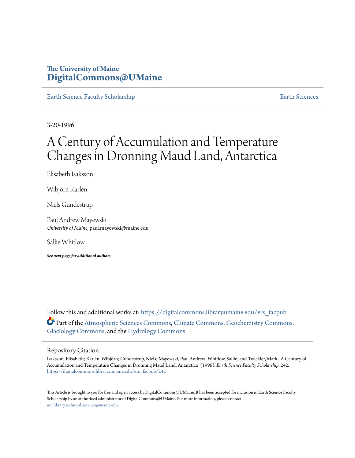# **The University of Maine [DigitalCommons@UMaine](https://digitalcommons.library.umaine.edu?utm_source=digitalcommons.library.umaine.edu%2Fers_facpub%2F242&utm_medium=PDF&utm_campaign=PDFCoverPages)**

[Earth Science Faculty Scholarship](https://digitalcommons.library.umaine.edu/ers_facpub?utm_source=digitalcommons.library.umaine.edu%2Fers_facpub%2F242&utm_medium=PDF&utm_campaign=PDFCoverPages) **[Earth Sciences](https://digitalcommons.library.umaine.edu/ers?utm_source=digitalcommons.library.umaine.edu%2Fers_facpub%2F242&utm_medium=PDF&utm_campaign=PDFCoverPages)** 

3-20-1996

# A Century of Accumulation and Temperature Changes in Dronning Maud Land, Antarctica

Elisabeth Isaksson

Wibjörn Karlén

Niels Gundestrup

Paul Andrew Mayewski *University of Maine*, paul.mayewski@maine.edu

Sallie Whitlow

*See next page for additional authors*

Follow this and additional works at: [https://digitalcommons.library.umaine.edu/ers\\_facpub](https://digitalcommons.library.umaine.edu/ers_facpub?utm_source=digitalcommons.library.umaine.edu%2Fers_facpub%2F242&utm_medium=PDF&utm_campaign=PDFCoverPages) Part of the [Atmospheric Sciences Commons,](http://network.bepress.com/hgg/discipline/187?utm_source=digitalcommons.library.umaine.edu%2Fers_facpub%2F242&utm_medium=PDF&utm_campaign=PDFCoverPages) [Climate Commons,](http://network.bepress.com/hgg/discipline/188?utm_source=digitalcommons.library.umaine.edu%2Fers_facpub%2F242&utm_medium=PDF&utm_campaign=PDFCoverPages) [Geochemistry Commons,](http://network.bepress.com/hgg/discipline/157?utm_source=digitalcommons.library.umaine.edu%2Fers_facpub%2F242&utm_medium=PDF&utm_campaign=PDFCoverPages) [Glaciology Commons](http://network.bepress.com/hgg/discipline/159?utm_source=digitalcommons.library.umaine.edu%2Fers_facpub%2F242&utm_medium=PDF&utm_campaign=PDFCoverPages), and the [Hydrology Commons](http://network.bepress.com/hgg/discipline/1054?utm_source=digitalcommons.library.umaine.edu%2Fers_facpub%2F242&utm_medium=PDF&utm_campaign=PDFCoverPages)

## Repository Citation

Isaksson, Elisabeth; Karlén, Wibjörn; Gundestrup, Niels; Mayewski, Paul Andrew; Whitlow, Sallie; and Twickler, Mark, "A Century of Accumulation and Temperature Changes in Dronning Maud Land, Antarctica" (1996). *Earth Science Faculty Scholarship*. 242. [https://digitalcommons.library.umaine.edu/ers\\_facpub/242](https://digitalcommons.library.umaine.edu/ers_facpub/242?utm_source=digitalcommons.library.umaine.edu%2Fers_facpub%2F242&utm_medium=PDF&utm_campaign=PDFCoverPages)

This Article is brought to you for free and open access by DigitalCommons@UMaine. It has been accepted for inclusion in Earth Science Faculty Scholarship by an authorized administrator of DigitalCommons@UMaine. For more information, please contact [um.library.technical.services@maine.edu](mailto:um.library.technical.services@maine.edu).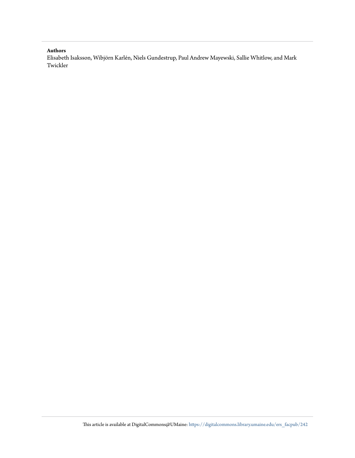# **Authors**

Elisabeth Isaksson, Wibjörn Karlén, Niels Gundestrup, Paul Andrew Mayewski, Sallie Whitlow, and Mark Twickler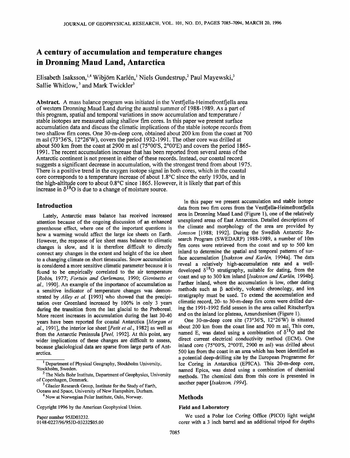# **A century of accumulation and temperature changes in Dronning Maud Land, Antarctica**

Elisabeth Isaksson,<sup>1,4</sup> Wibjörn Karlén,<sup>1</sup> Niels Gundestrup,<sup>2</sup> Paul Mayewski,<sup>3</sup> Sallie Whitlow,<sup>3</sup> and Mark Twickler<sup>3</sup>

**Abstract.** A mass balance program was initiated in the Vestfiella-Heimefrontfiella area **of western Dronning Maud Land during the austral summer of 1988-1989. As a part of this program, spatial and temporal variations in snow accumulation and temperature / stable isotopes are measured using shallow firn cores. In this paper we present surface accumulation data and discuss the climatic implications of the stable isotope records from two shallow firn cores. One 30-m-deep core, obtained about 200 km from the coast at 700 m asl (73ø36'S, 12ø26'W), covers the period 1932-1991. The other core was drilled at about 500 km from the coast at 2900 m asl (75ø00'S, 2ø00'E) and covers the period 1865- 1991. The recent accumulation increase that has been reported from several areas of the Antarctic continent is not present in either of these records. Instead, our coastal record suggests asignificant decrease in accumulation, with the strongest trend from about 1975. There is a positive trend in the oxygen isotope signal in both cores, which in the coastal core corresponds to a temperature increase of about 1.8øC since the early 1930s, and in the high-altitude core to about 0.8øC since 1865. However, it is likely that part of this**  increase in  $\delta^{18}O$  is due to a change of moisture source.

# **Introduction**

**Lately, Antarctic mass balance has received increased attention because of the ongoing discussion of an enhanced**  greenhouse effect, where one of the important questions is **how a warming would affect the large ice sheets on Earth. However, the response of ice sheet mass balance to climatic changes is slow, and it is therefore difficult to directly connect any changes in the extent and height of the ice sheet to a changing climate on short timescales. Snow accumulation is considered a more sensitive climatic parameter because it is found to be empirically correlated to the air temperature [Robin, 1977; Fortuin and Oerlemans, 1990; Giovinetto et al., 1990]. An example of the importance of accumulation as a sensitive indicator of temperature changes was demonstrated by Alley et al. [1993] who showed that the precipitation over Greenland increased by 100% in only 3 years during the transition from the last glacial to the Preboreal. More recent increases in accumulation during the last 30-40 years have been reported for coastal Antarctica [Morgan et al., 1991], the interior ice sheet [Petit et al., 1982] as well as from the Antarctic Peninsula [Peel, 1992]. At this point, any wider implications of these changes are difficult to assess, because glaciological data are sparse from large parts of Antarctica.** 

**4 Now at Norwegian Polar Institute, Oslo, Norway.** 

**Copyright 1996 by the American Geophysical Union.** 

**Paper number 95JD03232. 0148-0227/96/95JD-03232505.00** 

**In this paper we present accumulation and stable isotope**  data from two firn cores from the Vestfjella-Heimefrontfjella **area in Dronning Maud Land (Figure 1), one of the relatively unexplored areas of East Antarctica. Detailed descriptions of the climate and morphology of the area are provided by**  Jonsson [1988; 1992]. During the Swedish Antarctic Re**search Program (SWEDARP) 1988-1989, a number of 10m firn cores were retrieved from the coast and up to 500 km inland to determine the spatial and temporal patterns of sur**face accumulation [Isaksson and Karlén, 1994a]. The data **reveal a relatively high-accumulation rate and a well**developed  $\delta^{18}$ O stratigraphy, suitable for dating, from the coast and up to 300 km inland [Isaksson and Karlén, 1994b]. **Farther inland, where the accumulation is low, other dating methods such as [3 activity, volcanic chronology, and ion stratigraphy must be used. To extend the accumulation and climatic record, 20- to 30-m-deep firn cores were drilled during the 1991-1992 field season in the area called Ritscherflya and on the inland ice plateau, Amundsenisen (Figure 1).** 

One 30-m-deep core site (73°36'S, 12°26'W) is situated **about 200 km from the coast line and 700 m asl. This core,**  named E, was dated using a combination of  $\delta^{18}O$  and the **direct current electrical conductivity method (ECM). One inland core (75ø00'S, 2ø00'E, 2900 m asl) was drilled about 500 km from the coast in an area which has been identified as a potential deep-drilling site by the European Programme for Ice Coring in Antarctica (EPICA). This 20-m-deep core, named Epica, was dated using a combination of chemical methods. The chemical data from this core is presented in another paper [Isaksson, 1994].** 

# **Methods**

#### **Field and Laboratory**

**We used a Polar Ice Coring Office (PICO) light weight corer with a 3 inch barrel and an additional tripod for depths** 

**<sup>1</sup> Department of Physical Geography, Stockholm University, Stockholm, Sweden.** 

**<sup>2</sup> The Niels Bohr Institute, Department of Geophysics, University of Copenhagen, Denmark.** 

**<sup>3</sup> Glacier Research Group, Institute for the Study of Earth, Oceans and Space, University of New Hampshire, Durham.**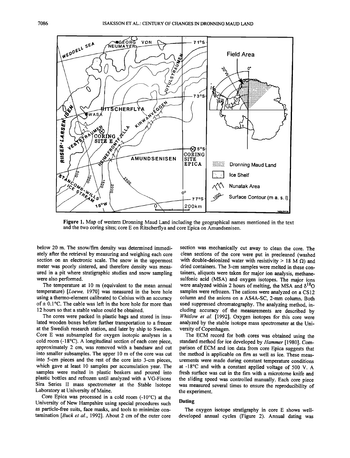

**Figure 1. Map of western Dronning Maud Land including the geographical names mentioned in the text and the two coring sites; core E on Ritscherflya and core Epica on Amundsenisen.** 

**below 20 m. The snow/firn density was determined immediately agter the retrieval by measuring and weighing each core section on an electronic scale. The snow in the uppermost meter was poorly sintered, and therefore density was measured in a pit where stratigraphic studies and snow sampling were also performed.** 

**The temperature at 10 m (equivalent to the mean annual temperature) [Loewe, 1970] was measured in the bore hole using a thermo-element calibrated to Celsius with an accuracy**  of  $\pm$  0.1 $\degree$ C. The cable was left in the bore hole for more than **12 hours so that a stable value could be obtained.** 

**The cores were packed in plastic bags and stored in insulated wooden boxes before further transportation to a freezer at the Swedish research station, and later by ship to Sweden. Core E was subsampled for oxygen isotopic analyses in a cold room (-18øC). A longitudinal section of each core piece, approximately 2 cm, was removed with a bandsaw and cut into smaller subsamples. The upper 10 m of the core was cut into 5-cm pieces and the rest of the core into 3-cm pieces, which gave at least 10 samples per accumulation year. The samples were melted in plastic beakers and poured into plastic bottles and refrozen until analyzed with a VG-Fisons Sira Series II mass spectrometer at the Stable Isotope Laboratory at University of Maine.** 

Core Epica was processed in a cold room (-10<sup>o</sup>C) at the **University of New Hampshire using special procedures such as particle-free suits, face masks, and tools to minimize contamination [Buck et al., 1992]. About 2 cm of the outer core**  **section was mechanically cut away to clean the core. The clean sections of the core were put in precleaned (washed**  with double-deionized water with resistivity  $> 18$  M  $\Omega$ ) and **dried containers. The 3-cm samples were melted in these containers, aliquots were taken for major ion analysis, methanesulfonic acid (MSA) and oxygen isotopes. The major ions**  were analyzed within 2 hours of melting, the MSA and  $\delta^{18}O$ samples were refrozen. The cations were analyzed on a CS12 **column and the anions on a AS4A-SC, 2-mm column. Both used suppressed chromatography. The analyzing method, in**cluding accuracy of the measurements are described by **Whitlow et al. [1992]. Oxygen isotopes for this core were analyzed by the stable isotope mass spectrometer at the University of Copenhagen.** 

**The ECM record for both cores was obtained using the standard method for ice developed by Hammer [1980]. Comparison of ECM and ion data from core Epica suggests that the method is applicable on firn as well as ice. These measurements were made during constant temperature conditions at -18øC and with a constant applied voltage of 500 V. A fresh surface was cut in the firn with a microtome knife and the sliding speed was controlled manually. Each core piece was measured several times to ensure the reproducibility of the experiment.** 

#### **Dating**

**The oxygen isotope stratigraphy in core E shows welldeveloped annual cycles (Figure 2). Annual dating was**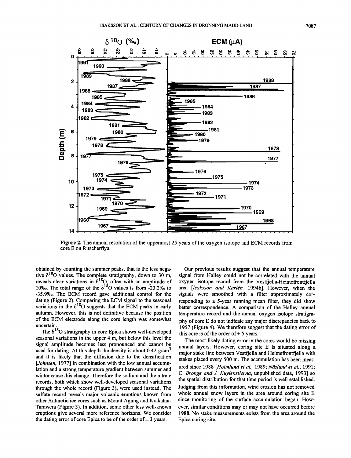

**Figure 2. The annual resolution of the uppermost 25 years of the oxygen isotope and ECM records from core E on Ritscherflya.** 

**obtained by counting the summer peaks, that is the less nega**tive  $\delta^{18}$ O values. The complete stratigraphy, down to 30 m, reveals clear variations in  $\delta^{18}$ O<sub>1</sub> often with an amplitude of 10‰. The total range of the  $\delta^{18}$ O values is from  $-23.2%$  to **-35.9%o. The ECM record gave additional control for the dating (Figure 2). Comparing the ECM signal to the seasonal**  variations in the  $\delta^{18}O$  suggests that the ECM peaks in early **autumn. However, this is not definitive because the position of the ECM electrode along the core length was somewhat uncertain.** 

The  $\delta^{18}$ O stratigraphy in core Epica shows well-developed **seasonal variations in the upper 4 m, but below this level the signal amplitude becomes less pronounced and cannot be**  used for dating. At this depth the density is about 0.42 g/cm<sup>3</sup> **and it is likely that the diffusion due to the densification**  [*Johnsen*, 1977] in combination with the low annual accumu**lation and a strong temperature gradient between summer and winter cause this change. Therefore the sodium and the nitrate records, both which show well-developed seasonal variations through the whole record (Figure 3), were used instead. The sulfate record reveals major volcanic eruptions known from other Antarctic ice cores such as Mount Agung and Krakatau-Tarawera (Figure 3). In addition, some other less well-known eruptions give several more reference horizons. We consider**  the dating error of core Epica to be of the order of  $\pm 3$  years.

**Our previous results suggest that the annual temperature signal from Halley could not be correlated with the annual oxygen isotope record from the Vestfjella-Heimefrontfjella**  area [Isaksson and Karlén, 1994b]. However, when the **signals were smoothed with a filter approximately corresponding to a 5-year running mean filter, they did show**  better correspondence. A comparison of the Halley annual **temperature record and the annual oxygen isotope stratigraphy of core E do not indicate any major discrepancies back to 1957 (Figure 4). We therefore suggest that the dating error of**  this core is of the order of  $\pm$  5 years.

**The most likely dating error in the cores would be missing annual layers. However, coring site E is situated along a**  major stake line between Vestfjella and Heimefrontfjella with **stakes placed every 500 m. The accumulation has been meas**ured since 1988 [Holmlund et al., 1989; Näslund et al., 1991; **C. Bronge and J. Kuylenstierna, unpublished data, 1993] so the spatial distribution for that time period is well established. Judging from this information, wind erosion has not removed whole annual snow layers in the area around coring site E since monitoring of the surface accumulation began. However, similar conditions may or may not have occurred before 1988. No stake measurements exists from the area around the Epica coring site.**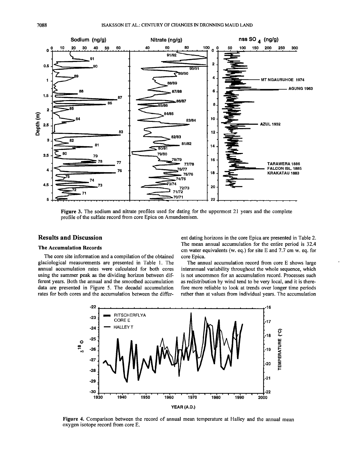

**Figure 3. The sodium and nitrate profiles used for dating for the uppermost 21 years and the complete profile of the sulfate record from core Epica on Amundsenisen.** 

# **Results and Discussion**

#### **The Accumulation Records**

**The core site information and a compilation of the obtained glaciological measurements are presented in Table 1. The annual accumulation rates were calculated for both cores using the summer peak as the dividing horizon between different years. Both the annual and the smoothed accumulation data are presented in Figure 5. The decadal accumulation rates for both cores and the accumulation between the differ-**

**ent dating horizons in the core Epica are presented in Table 2. The mean annual accumulation for the entire period is 32.4 cm water equivalents (w. eq.) for site E and 7.7 cm w. eq. for core Epica.** 

**The annual accumulation record from core E shows large interannual variability throughout the whole sequence, which is not uncommon for an accumulation record. Processes such as redistribution by wind tend to be very local, and it is therefore more reliable to look at trends over longer time periods rather than at values from individual years. The accumulation** 



**Figure 4. Comparison between the record of annual mean temperature at Halley and the annual mean oxygen isotope record from core E.**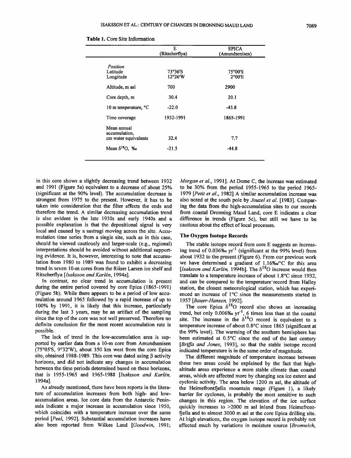|                                                      | Е<br>(Ritscherflya) | <b>EPICA</b><br>(Amundsenisen) |
|------------------------------------------------------|---------------------|--------------------------------|
| Position                                             |                     |                                |
| Latitude<br>Longitude                                | 73°36'S<br>12°26'W  | 75°00'S<br>$2^{\circ}00'E$     |
| Altitude, m asl                                      | 700                 | 2900                           |
| Core depth, m                                        | 30.4                | 20.1                           |
| 10 m temperature, °C                                 | $-22.0$             | $-43.8$                        |
| Time coverage                                        | 1932-1991           | 1865-1991                      |
| Mean annual<br>accumulation,<br>cm water equivalents | 32.4                | 7.7                            |
| Mean $\delta^{18}O$ , ‰                              | $-21.5$             | $-44.8$                        |

|  |  | <b>Table 1.</b> Core Site Information |
|--|--|---------------------------------------|
|  |  |                                       |

**in this core shows a slightly decreasing trend between 1932**  and 1991 (Figure 5a) equivalent to a decrease of about 25% **(significant at the 90% level). The accumulation decrease is strongest from 1975 to the present. However, it has to be taken into consideration that the filter affects the ends and therefore the trend. A similar decreasing accumulation trend is also evident in the late 1930s and early 1940s and a possible explanation is that the depositional signal is very local and caused by a sastrugi moving across the site. Accumulation time series from a single site, such as in this case, should be viewed cautiously and larger-scale (e.g., regional) interpretations should be avoided without additional supporting evidence. It is, however, interesting to note that accumulation from 1980 to 1989 was found to exhibit a decreasing trend in seven 10-m cores from the Riiser Larsen ice shelf and**  Ritscherflya [*Isaksson and Karlén*, 1994a].

**In contrast, no clear trend in accumulation is present during the entire period covered by core Epica (1865-1991) (Figure 5b). While there appears to be a period of low accumulation around 1965 followed by a rapid increase of up to 100% by 1991, it is likely that this increase, particularly during the last 3 years, may be an artifact of the sampling since the top of the core was not well preserved. Therefore no definite conclusion for the most recent accumulation rate is possible.** 

**The lack of trend in the low-accumulation area is supported by earlier data from a 10-m core from Amundsenisen (75ø05'S, 9ø32'W), about 350 km west from the core Epica**  site, obtained 1988-1989. This core was dated using  $\beta$  activity **horizons, and did not indicate any changes in accumulation between the time periods determined based on these horizons,**  that is 1955-1965 and 1965-1988 [Isaksson and Karlén, **1994a].** 

**As already mentioned, there have been reports in the literature of accumulation increases from both high- and lowaccumulation areas. Ice core data from the Antarctic Peninsula indicate a major increase in accumulation since 1950, which coincides with a temperature increase over the same period [Peel, 1992]. Substantial accumulation increases have also been reported from Wilkes Land [Goodwin, 1991;** 

**Morgan et al., 1991 ]. At Dome C, the increase was estimated to be 30% from the period 1955-1965 to the period 1965- 1979 [Petit et al., 1982] A similar accumulation increase was**  also noted at the south pole by *Jouzel et al.* [1983]. Compar**ing the data from the high-accumulation sites to our records from coastal Dronning Maud Land, core E indicates a clear difference in trends (Figure 5c), but still we have to be cautious about the effect of local processes.** 

#### **The Oxygen Isotope Records**

**The stable isotope record from core E suggests an increasing trend of 0.036%0 yr-1 (significant at the 99% level) from about 1932 to the present (Figure 6). From our previous work we have determined a gradient of 1.16%o/øC for this area**  [Isaksson and Karlén, 1994b]. The  $\delta^{18}$ O increase would then **translate to a temperature increase of about 1.8øC since 1932,**  and can be compared to the temperature record from Halley **station, the closest meteorological station, which has experi**enced an increase of 1°C since the measurements started in **1957 [Bauer-Hansen, 1992].** 

**The core Epica 6180 record also shows an increasing trend, but only 0.006%o yr-1, 6 times less than at the coastal**  site. The increase in the  $\delta^{18}$ O record is equivalent to a **temperature increase of about 0.8øC since 1865 (significant at the 99% level). The warming of the southern hemisphere has been estimated at 0.5øC since the end of the last century**  [Briffa and Jones, 1993], so that the stable isotope record indicated temperature is in the same order of magnitude.

**The different magnitude of temperature increase between these two areas could be explained by the fact that highaltitude areas experience a more stable climate than coastal areas, which are affected more by changing sea ice extent and cyclonic activity. The area below 1200 m asl, the altitude of**  the Heimefrontfiella mountain range (Figure 1), a likely **barrier for cyclones, is probably the most sensitive to such changes in this region. The elevation of the ice surface quickly increases to >2000 m asl inland from Heimefronttjella and to almost 3000 m asl at the core Epica drilling site. At high elevations, the oxygen isotope record is probably not affected much by variations in moisture source [Bromwich,**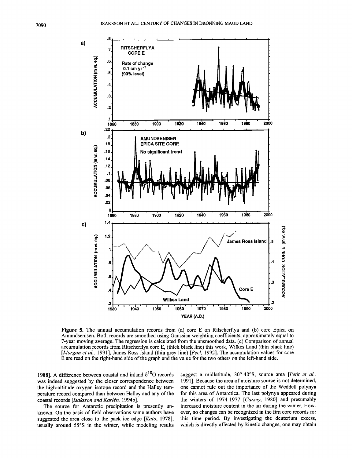

**Figure 5.** The annual accumulation records from (a) core E on Ritscherflya and (b) core Epica on **Amundsenisen. Both records are smoothed using Gaussian weighting coefficients, approximately equal to**  7-year moving average. The regression is calculated from the unsmoothed data. (c) Comparison of annual **accumulation records from Ritscherfiya core E, (thick black line) this work, Wilkes Land (thin black line)**  [Morgan et al., 1991], James Ross Island (thin grey line) [Peel, 1992]. The accumulation values for core **E are read on the right-hand side of the graph and the value for the two others on the left-hand side.** 

1988]. A difference between coastal and inland  $\delta^{18}O$  records **was indeed suggested by the closer correspondence between the high-altitude oxygen isotope record and the Halley temperature record compared than between Halley and any of the**  coastal records [Isaksson and Karlén, 1994b].

**The source for Antarctic precipitation is presently unknown. On the basis of field observations some authors have suggested the area close to the pack ice edge [Kato, 1978],**  usually around 55°S in the winter, while modeling results

suggest a midlatitude, 30°-40°S, source area [*Petit et al.*, **1991 ]. Because the area of moisture source is not determined, one cannot rule out the importance of the Weddell polynya for this area of Antarctica. The last polynya appeared during the winters of 1974-1977 [Carsey, 1980] and presumably increased moisture content in the air during the winter. However, no changes can be recognized in the firn core records for this time period. By investigating the deuterium excess, which is directly affected by kinetic changes, one may obtain**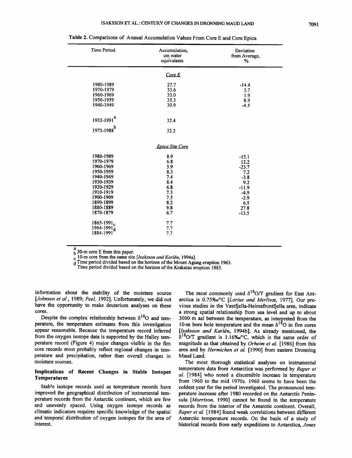| <b>Time Period</b>                                                                                                                                                                                                 | Accumulation,<br>cm water<br>equivalents                                                              | Deviation<br>from Average,<br>%                                                                             |
|--------------------------------------------------------------------------------------------------------------------------------------------------------------------------------------------------------------------|-------------------------------------------------------------------------------------------------------|-------------------------------------------------------------------------------------------------------------|
|                                                                                                                                                                                                                    | CoreE                                                                                                 |                                                                                                             |
| 1980-1989<br>1970-1979<br>1960-1969<br>1950-1959<br>1940-1949<br>1932-1991 <sup>a</sup><br>1973-1988 <sup>b</sup>                                                                                                  | 27.7<br>33.6<br>33.0<br>35.3<br>30.9<br>32.4<br>32.2                                                  | $-14.4$<br>3.7<br>1.9<br>8.9<br>$-4.5$                                                                      |
|                                                                                                                                                                                                                    | <b>Epica Site Core</b>                                                                                |                                                                                                             |
| 1980-1989<br>1970-1979<br>1960-1969<br>1950-1959<br>1940-1949<br>1930-1939<br>1920-1929<br>1910-1919<br>1900-1909<br>1890-1899<br>1880-1889<br>1870-1879<br>1865-1991 <sub>c</sub><br>$1964 - 1991_d$<br>1884-1991 | 8.9<br>6.8<br>5.9<br>8.3<br>7.4<br>8.4<br>6.8<br>7.3<br>7.5<br>8.2<br>9.8<br>6.7<br>7.7<br>7.7<br>7.7 | $-15.1$<br>12.2<br>$-23.7$<br>7.2<br>$-3.8$<br>9.2<br>$-11.9$<br>$-4.9$<br>$-2.9$<br>6.5<br>27.8<br>$-13.5$ |

**Table 2. Comparisons of Annual Accumulation Values From Core E and Core Epica** 

 $b^2$  30-m core E from this paper.

c 10-m core from the same site [Isaksson and Karlén, 1994a].

**d Time period divided based on the horizon of the Mount Agung eruption 1963.** 

**Time period divided based on the horizon of the Krakatau eruption 1883.** 

**information about the stability of the moisture source**  [Johnsen et al., 1989; Peel, 1992]. Unfortunately, we did not **have the opportunity to make deuterium analyses on these cores.** 

Despite the complex relationship between  $\delta^{18}$ O and temperature, the temperature estimates from this investigation **appear reasonable. Because the temperature record inferred from the oxygen isotope data is supported by the Halley temperature record (Figure 4) major changes visible in the firn**  core records most probably reflect regional changes in tem**perature and precipitation, rather than overall changes in moisture sources.** 

#### **Implications of Recent Changes in Stable Isotopes Temperatures**

**Stable isotope records used as temperature records have improved the geographical distribution of instrumental temperature records from the Antarctic continent, which are few and unevenly spaced. Using oxygen isotope records as climatic indicators requires specific knowledge of the spatial and temporal distribution of oxygen isotopes for the area of interest.** 

The most commonly used  $\delta^{18}$ O/T gradient for East Antarctica is 0.75%o<sup>o</sup>C [Lorius and Merlivat, 1977]. Our pre**vious studies in the Vestfjella-Heimefrontfjella area, indicate a strong spatial relationship from sea level and up to about**  3000 m asl between the temperature, as interpreted from the 10-m bore hole temperature and the mean  $\delta^{18}$ O in firn cores [Isaksson and Karlén, 1994b]. As already mentioned, the  $\delta^{18}$ O/T gradient is 1.16%o<sup>o</sup>C, which is the same order of **magnitude as that obtained by Orheim et at. [1986] from this area and by Hermichen et al. [1990] from eastern Dronning Maud Land.** 

**The most thorough statistical analyses on instrumental temperature data from Antarctica was performed by Raper et al. [1984] who noted a discernible increase in temperature from 1960 to the mid 1970s. 1960 seems to have been the coldest year for the period investigated. The pronounced temperature increase after 1980 recorded on the Antarctic Peninsula [Morrison, 1990] cannot be found in the temperature records from the interior of the Antarctic continent. Overall, Raper et at. [1984] found weak correlations between different Antarctic temperature records. On the basis of a study of historical records from early expeditions to Antarctica, Jones**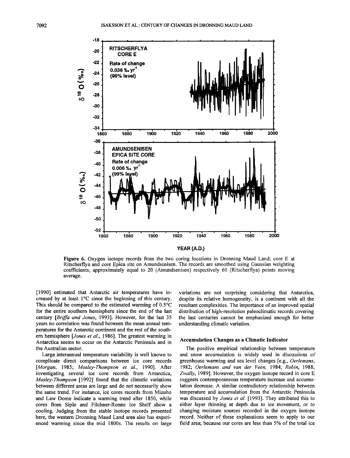

**Figure 6. Oxygen isotope records from the two coring locations in Dronning Maud Land; core E at Ritscherflya and core Epica site on Amundsenisen. The records are smoothed using Gaussian weighting coefficients, approximately equal to 20 (Amundsenisen) respectively 60 (Ritscherflya) points moving average.** 

**[1990] estimated that Antarctic air temperatures have in**creased by at least 1<sup>o</sup>C since the beginning of this century. **This should be compared to the estimated warming of 0.5øC for the entire southern hemisphere since the end of the last century [Briffa and Jones, 1993]. However, for the last 35 years no correlation was found between the mean annual temperatures for the Antarctic continent and the rest of the southern hemisphere [Jones et al., 1986]. The greatest warming in Antarctica seems to occur on the Antarctic Peninsula and in the Australian sector.** 

**Large interannual temperature variability is well known to complicate direct comparisons between ice core records [Morgan, 1985; Mosley-Thompson et al., 1990]. After investigating several ice core records from Antarctica, Mosley-Thompson [1992] found that the climatic variations between different areas are large and do not necessarily show the same trend. For instance, ice cores records from Mizuho and Law Dome indicate a warming trend after 1850, while cores from Siple and Filchner-Ronne Ice Shelf show a cooling. Judging from the stable isotope records presented here, the western Dronning Maud Land area also has experienced warming since the mid 1800s. The results on large** 

**variations are not surprising considering that Antarctica, despite its relative homogeneity, is a continent with all the resultant complexities. The importance of an improved spatial distribution of high-resolution paleoclimatic records covering the last centuries cannot be emphasized enough for better understanding climatic variation.** 

### **Accumulation Changes as a Climatic Indicator**

**The positive empirical relationship between temperature and snow accumulation is widely used in discussions of greenhouse warming and sea level changes [e.g., Oerlemans, 1982; Oerlemans and van der keen, 1984; Robin, 1988; Zwally, 1989]. However, the oxygen isotope record in core E suggests contemporaneous temperature increase and accumulation decrease. A similar contradictory relationship between temperature and accumulation from the Antarctic Peninsula**  was discussed by Jones et al. [1993]. They attributed this to **either layer thinning at depth due to ice movement, or to changing moisture sources recorded in the oxygen isotope record. Neither of these explanations seem to apply to our field area; because our cores are less than 5% of the total ice**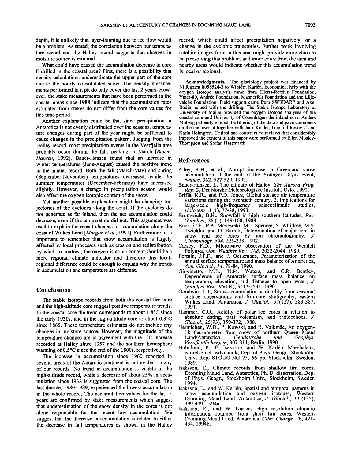**depth, it is unlikely that layer-thinning due to ice flow would be a problem. As stated, the correlation between our temperature record and the Halley record suggests that changes in moisture source is minimal.** 

**What could have caused the accumulation decrease in core E drilled in the coastal area? First, there is a possibility that density calculations underestimate the upper part of the core due to the poorly consolidated snow. The density measurements performed in a pit do only cover the last 2 years. However, the stake measurements that have been performed in the coastal areas since 1988 indicate that the accumulation rates estimated from stakes do not differ from the core values for this time period.** 

**Another explanation could be that since precipitation in Antarctica is not evenly distributed over the seasons, temperature changes during part of the year might be sufficient to cause changes in the precipitation pattern. Judging from the Halley record, most precipitation events in the Vestfjella area probably occur during the fall, peaking in March [Bauer-Hansen, 1992]. Bauer-Hansen found that an increase in winter temperatures (June-August) caused the positive trend in the annual record. Both the fall (March-May) and spring (September-November) temperatures decreased, while the summer temperatures (December-February) have increased slightly. However, a change in precipitation season would also affect the oxygen isotopic content of the snow.** 

**Yet another possible explanation might be changing trajectories of the cyclones along the coast. If the cyclones do not penetrate as far inland, then the net accumulation could decrease, even if the temperature did not. This argument was used to explain the recent changes in accumulation along the coast of Wilkes Land [Morgan et al., 1991 ]. Furthermore, it is important to remember that snow accumulation is largely affected by local processes such as erosion and redistribution by wind. In contrast, the oxygen isotopic content should be a more regional climate indicator and therefore this localregional difference could be enough to explain why the trends in accumulation and temperature are different.** 

#### **Conclusions**

**The stable isotope records from both the coastal firn core and the high-altitude core suggest positive temperature trends. In the coastal core the trend corresponds to about 1.8øC since the early 1930s, and in the high-altitude core to about 0.8øC since 1865. These temperature estimates do not include any changes in moisture source. However, the magnitude of the temperature changes are in agreement with the 1<sup>o</sup>C increase recorded at Halley since 1957 and the southern hemisphere warming of 0.5øC since the end of the 1800s, respectively.** 

**The increase in accumulation since 1960 reported in several areas of the Antarctic continent is not evident in any of our records. No trend in accumulation is visible in the high-altitude record, while a decrease of about 25% in accumulation since 1932 is suggested from the coastal core. The last decade, 1980-1989, experienced the lowest accumulation in the whole record. The accumulation values for the last 5 years are confirmed by stake measurements which suggest that underestimation of the snow density in the cores is not alone responsible for the recent low accumulation. We**  suggest that the decrease in accumulation is related to either **the decrease in fall temperatures as shown in the Halley** 

**record, which could affect precipitation negatively, or a change in the cyclonic trajectories. Further work involving satellite images from in this area might provide more clues to help resolving this problem, and more cores from the area and nearby areas would indicate whether this accumulation trend is local or regional.** 

**Acknowledgments. The glaciology project was financed by NFR grant 8058524-3 to Wibj6rn Kar16n. Economical help with the oxygen isotope analysis came from Hierta-Retzius Foundation,**  Ymer-80, Andrée Foundation, Mannerfelt Foundation and the Lilje**valchs Foundation. Field support came from SWEDARP and Axel Bodin helped with the drilling. The Stable Isotope Laboratory at University of Maine provided the oxygen isotope analyses of the coastal core and University of Copenhagen the inland core. Anders Moberg patiently guided the filtering of the data and gave comments**  on the manuscript together with Jack Kohler, Gunhild Rosqvist and Karin Holmgren. Critical and constructive reviews that considerably **improved the content of this paper were performed by Ellen Mosley-Thompson and Stefan Hastenrath.** 

#### **References**

- **Alley, R.B., et al., Abrupt increase in Greenland snow accumulation at the end of the Younger Dryas event, Nature, 362, 527-529, 1993.**
- **Bauer-Hansen, I., The climate of Halley, The Aurora Prog. Rap. 3, Det Norske Meteorologiske Institutt, Oslo, 1992.**
- **Briffa, K.R., and P.D. Jones, Global surface air temperature variations during the twentieth century, 2, Implications for large-scale high-frequency palaeoclimatic studies, Holocene, 3 (1), 77-88, 1993.**
- **Bromwich, D.H., Snowfall in high southern latitudes, Rev. Geophys., 26 (1), 149-168, 1988.**
- **Buck, C.F., P.A. Mayewski, M.J. Spencer, S. Whitlow, M.S. Twickler, and D. Barrett, Determination of major ions in snow and ice cores by ion chromatography, J. Chromatogr. 594, 225-228, 1992.**
- **Carsey, F.D., Microwave observation of the Weddell Polynya, Mort. Weather Rev., 108, 2032-2044, 1980.**
- **Fortuin, J.P.F., and J. Oerlemans, Parameterization of the annual surface temperature and mass balance of Antarctica, Ann. Glaciol., 14, 78-84, 1990.**
- **Giovinetto, M.B., N.M. Waters, and C.R. Bentley, Dependence of Antarctic surface mass balance on temperature, elevation, and distance to open water, J. Geophys. Res., 95(D4), 3517-3531, 1990.**
- **Goodwin, I.D., Snow-accumulation variability from seasonal surface observations and firn-core stratigraphy, eastern Wilkes Land, Antarctica, J. Glaciol., 37(127), 383-387, 1991.**
- **Hammer, C.U., Acidity of polar ice cores in relation to absolute dating, past volcanism, and radioechoes, J. Glaciol., 25(93), 359-372, 1980.**
- Hermichen, W.D., P. Kowski, and R. Vaikmäe, An oxygen-18 thermometer from snow of northern Queen Maud Land/Antarctica, Geodätische und Geophys. Land/Antarctica, Geod*átische und Geophys.*<br>
indicates **VerOffentlichungen, 307-311, Berlin, 1990.**
- Holmlund, P., E. Isaksson, and W. Karlén, Massbalans, isrorelse och isdynamik, Dep. of Phys. Geogr., Stockholm **Univ, Rep. STOUG-NG 73, 66 pp, Stockholm, Sweden, 1989.**
- **Isaksson, E., Climate records from shallow firn cores, Dronning Maud Land, Antarctica, Ph.D. dissertation, Dep. of Phys. Geogr., Stockholm Univ., Stockholm, Sweden 1994.**
- **Isaksson, E., and W. Kar16n, Spatial and temporal patterns in**  snow accumulation and oxygen isotopes, Dronning Maud Land, Antarctica, J. Glaciol., 40 (135),
- 399-409, 1994a.<br>**Isaksson**, E., and W. Karlén, High resolution climatic **information obtained from short firn cores, Western Dronning Maud Land, Antarctica, Clim. Change, 26, 421- 434, 1994b.**